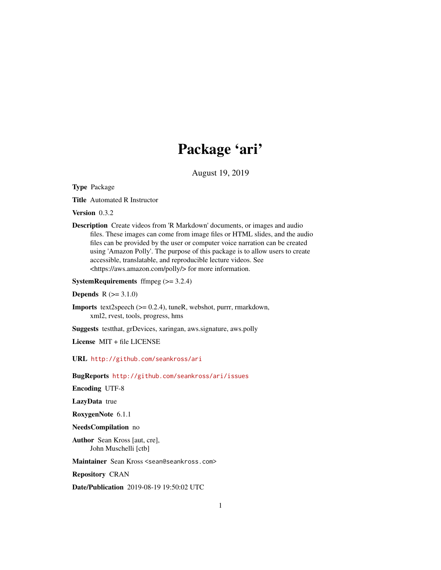# Package 'ari'

August 19, 2019

<span id="page-0-0"></span>Type Package

Title Automated R Instructor

Version 0.3.2

Description Create videos from 'R Markdown' documents, or images and audio files. These images can come from image files or HTML slides, and the audio files can be provided by the user or computer voice narration can be created using 'Amazon Polly'. The purpose of this package is to allow users to create accessible, translatable, and reproducible lecture videos. See <https://aws.amazon.com/polly/> for more information.

**SystemRequirements** ffmpeg  $(>= 3.2.4)$ 

**Depends**  $R (= 3.1.0)$ 

Imports text2speech (>= 0.2.4), tuneR, webshot, purrr, rmarkdown, xml2, rvest, tools, progress, hms

Suggests testthat, grDevices, xaringan, aws.signature, aws.polly

License MIT + file LICENSE

URL <http://github.com/seankross/ari>

BugReports <http://github.com/seankross/ari/issues>

Encoding UTF-8

LazyData true

RoxygenNote 6.1.1

NeedsCompilation no

Author Sean Kross [aut, cre], John Muschelli [ctb]

Maintainer Sean Kross <sean@seankross.com>

Repository CRAN

Date/Publication 2019-08-19 19:50:02 UTC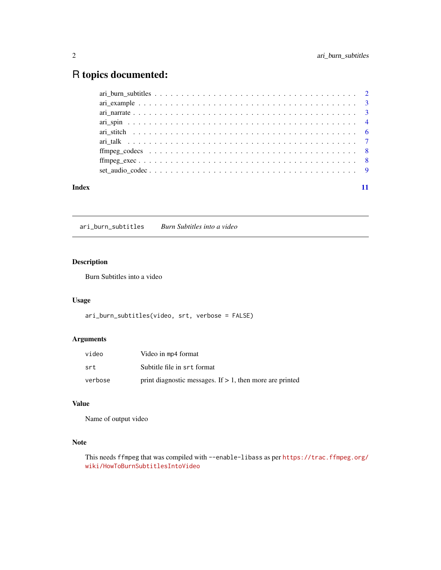## <span id="page-1-0"></span>R topics documented:

| Index |  |
|-------|--|

ari\_burn\_subtitles *Burn Subtitles into a video*

### Description

Burn Subtitles into a video

#### Usage

```
ari_burn_subtitles(video, srt, verbose = FALSE)
```
#### Arguments

| video   | Video in mp4 format                                         |
|---------|-------------------------------------------------------------|
| srt     | Subtitle file in srt format                                 |
| verbose | print diagnostic messages. If $> 1$ , then more are printed |

#### Value

Name of output video

#### Note

This needs ffmpeg that was compiled with --enable-libass as per [https://trac.ffmpeg.org/](https://trac.ffmpeg.org/wiki/HowToBurnSubtitlesIntoVideo) [wiki/HowToBurnSubtitlesIntoVideo](https://trac.ffmpeg.org/wiki/HowToBurnSubtitlesIntoVideo)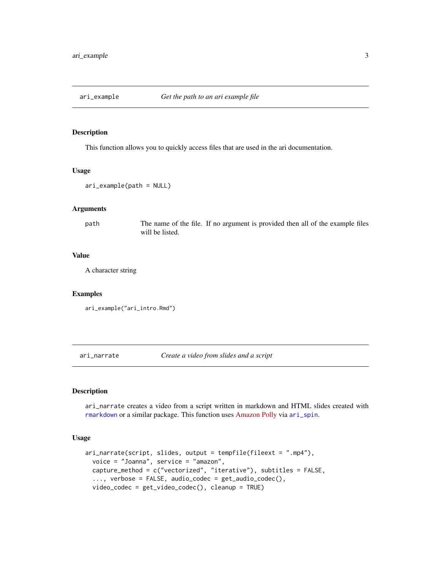<span id="page-2-0"></span>

#### Description

This function allows you to quickly access files that are used in the ari documentation.

#### Usage

```
ari_example(path = NULL)
```
#### Arguments

path The name of the file. If no argument is provided then all of the example files will be listed.

#### Value

A character string

#### Examples

ari\_example("ari\_intro.Rmd")

ari\_narrate *Create a video from slides and a script*

#### Description

ari\_narrate creates a video from a script written in markdown and HTML slides created with [rmarkdown](#page-0-0) or a similar package. This function uses [Amazon Polly](https://aws.amazon.com/polly/) via [ari\\_spin](#page-3-1).

#### Usage

```
ari_narrate(script, slides, output = tempfile(fileext = ".mp4"),
  voice = "Joanna", service = "amazon",
 capture_method = c("vectorized", "iterative"), subtitles = FALSE,
  ..., verbose = FALSE, audio_codec = get_audio_codec(),
 video_codec = get_video_codec(), cleanup = TRUE)
```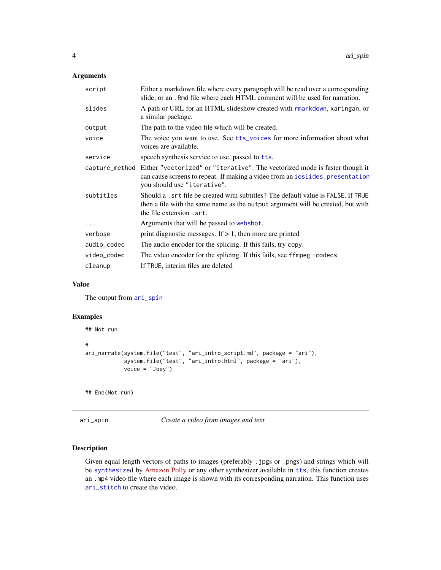#### <span id="page-3-0"></span>Arguments

| script      | Either a markdown file where every paragraph will be read over a corresponding<br>slide, or an . Rmd file where each HTML comment will be used for narration.                                             |
|-------------|-----------------------------------------------------------------------------------------------------------------------------------------------------------------------------------------------------------|
| slides      | A path or URL for an HTML slideshow created with rmarkdown, xaringan, or<br>a similar package.                                                                                                            |
| output      | The path to the video file which will be created.                                                                                                                                                         |
| voice       | The voice you want to use. See tts_voices for more information about what<br>voices are available.                                                                                                        |
| service     | speech synthesis service to use, passed to tts.                                                                                                                                                           |
|             | capture_method Either "vectorized" or "iterative". The vectorized mode is faster though it<br>can cause screens to repeat. If making a video from an ioslides_presentation<br>you should use "iterative". |
| subtitles   | Should a , srt file be created with subtitles? The default value is FALSE. If TRUE<br>then a file with the same name as the output argument will be created, but with<br>the file extension . srt.        |
| .           | Arguments that will be passed to webshot.                                                                                                                                                                 |
| verbose     | print diagnostic messages. If $> 1$ , then more are printed                                                                                                                                               |
| audio_codec | The audio encoder for the splicing. If this fails, try copy.                                                                                                                                              |
| video_codec | The video encoder for the splicing. If this fails, see ffmpeg -codecs                                                                                                                                     |
| cleanup     | If TRUE, interim files are deleted                                                                                                                                                                        |

#### Value

The output from [ari\\_spin](#page-3-1)

#### Examples

```
## Not run:
#
ari_narrate(system.file("test", "ari_intro_script.md", package = "ari"),
            system.file("test", "ari_intro.html", package = "ari"),
            voice = "Joey")
```
## End(Not run)

<span id="page-3-1"></span>ari\_spin *Create a video from images and text*

#### Description

Given equal length vectors of paths to images (preferably .jpgs or .pngs) and strings which will be [synthesize](#page-0-0)d by [Amazon Polly](https://aws.amazon.com/polly/) or any other synthesizer available in [tts](#page-0-0), this function creates an .mp4 video file where each image is shown with its corresponding narration. This function uses [ari\\_stitch](#page-5-1) to create the video.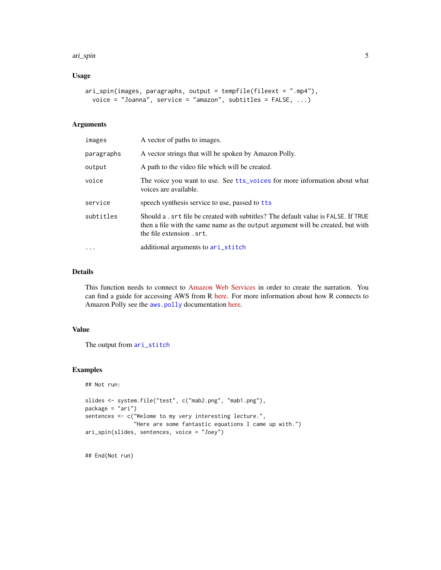#### <span id="page-4-0"></span>ari\_spin 5

#### Usage

```
ari_spin(images, paragraphs, output = tempfile(fileext = ".mp4"),
 voice = "Joanna", service = "amazon", subtitles = FALSE, ...)
```
#### Arguments

| images     | A vector of paths to images.                                                                                                                                                                       |
|------------|----------------------------------------------------------------------------------------------------------------------------------------------------------------------------------------------------|
| paragraphs | A vector strings that will be spoken by Amazon Polly.                                                                                                                                              |
| output     | A path to the video file which will be created.                                                                                                                                                    |
| voice      | The voice you want to use. See tts_voices for more information about what<br>voices are available.                                                                                                 |
| service    | speech synthesis service to use, passed to tts                                                                                                                                                     |
| subtitles  | Should a , srt file be created with subtitles? The default value is FALSE. If TRUE<br>then a file with the same name as the output argument will be created, but with<br>the file extension . srt. |
| $\cdots$   | additional arguments to ari_stitch                                                                                                                                                                 |

#### Details

This function needs to connect to [Amazon Web Services](https://aws.amazon.com/) in order to create the narration. You can find a guide for accessing AWS from R [here.](http://seankross.com/2017/05/02/Access-Amazon-Web-Services-in-R.html) For more information about how R connects to Amazon Polly see the [aws.polly](#page-0-0) documentation [here.](https://github.com/cloudyr/aws.polly)

#### Value

The output from [ari\\_stitch](#page-5-1)

#### Examples

```
## Not run:
slides <- system.file("test", c("mab2.png", "mab1.png"),
package = "ari")
sentences <- c("Welome to my very interesting lecture.",
               "Here are some fantastic equations I came up with.")
ari_spin(slides, sentences, voice = "Joey")
```
## End(Not run)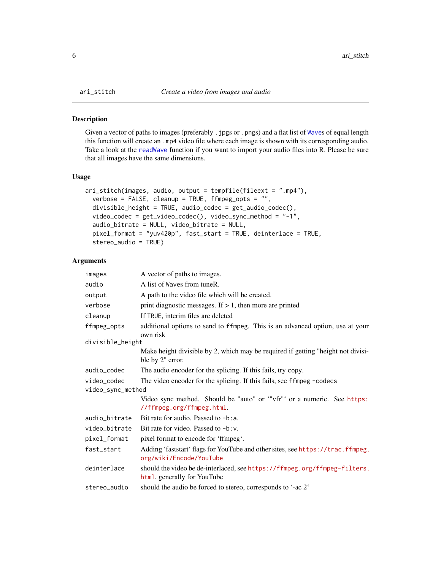<span id="page-5-1"></span><span id="page-5-0"></span>

#### Description

Given a vector of paths to images (preferably . jpgs or .pngs) and a flat list of [Wave](#page-0-0)s of equal length this function will create an .mp4 video file where each image is shown with its corresponding audio. Take a look at the [readWave](#page-0-0) function if you want to import your audio files into R. Please be sure that all images have the same dimensions.

#### Usage

```
ari_stitch(images, audio, output = tempfile(fileext = ".mp4"),
  verbose = FALSE, cleanup = TRUE, ffmpeg_opts = "",
  divisible_height = TRUE, audio_codec = get_audio_codec(),
  video_codec = get_video_codec(), video_sync_method = "-1",
  audio_bitrate = NULL, video_bitrate = NULL,
  pixel_format = "yuv420p", fast_start = TRUE, deinterlace = TRUE,
  stereo_audio = TRUE)
```
#### Arguments

| images            | A vector of paths to images.                                                                              |
|-------------------|-----------------------------------------------------------------------------------------------------------|
| audio             | A list of Waves from tuneR.                                                                               |
| output            | A path to the video file which will be created.                                                           |
| verbose           | print diagnostic messages. If $> 1$ , then more are printed                                               |
| cleanup           | If TRUE, interim files are deleted                                                                        |
| ffmpeg_opts       | additional options to send to ffmpeg. This is an advanced option, use at your<br>own risk                 |
| divisible_height  |                                                                                                           |
|                   | Make height divisible by 2, which may be required if getting "height not divisi-<br>ble by 2" error.      |
| audio_codec       | The audio encoder for the splicing. If this fails, try copy.                                              |
| video_codec       | The video encoder for the splicing. If this fails, see ffmpeg -codecs                                     |
| video_sync_method |                                                                                                           |
|                   | Video sync method. Should be "auto" or "vfr" or a numeric. See https:<br>//ffmpeg.org/ffmpeg.html.        |
| audio_bitrate     | Bit rate for audio. Passed to $-b:a$ .                                                                    |
| video_bitrate     | Bit rate for video. Passed to -b: v.                                                                      |
| pixel_format      | pixel format to encode for 'ffmpeg'.                                                                      |
| fast_start        | Adding 'faststart' flags for YouTube and other sites, see https://trac.ffmpeg.<br>org/wiki/Encode/YouTube |
| deinterlace       | should the video be de-interlaced, see https://ffmpeg.org/ffmpeg-filters.<br>html, generally for YouTube  |
| stereo_audio      | should the audio be forced to stereo, corresponds to '-ac 2'                                              |
|                   |                                                                                                           |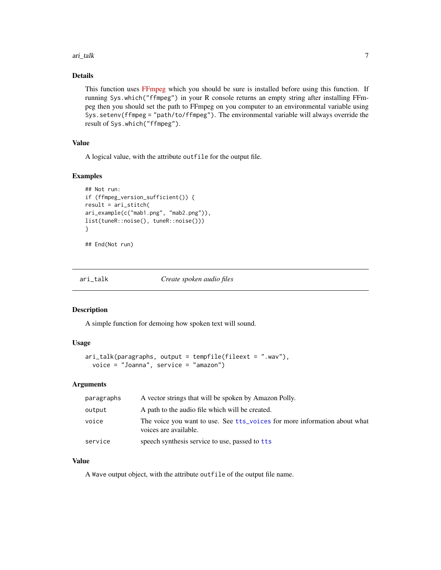#### <span id="page-6-0"></span>ari\_talk 7

#### Details

This function uses [FFmpeg](https://ffmpeg.org/) which you should be sure is installed before using this function. If running Sys.which("ffmpeg") in your R console returns an empty string after installing FFmpeg then you should set the path to FFmpeg on you computer to an environmental variable using Sys.setenv(ffmpeg = "path/to/ffmpeg"). The environmental variable will always override the result of Sys.which("ffmpeg").

#### Value

A logical value, with the attribute outfile for the output file.

#### Examples

```
## Not run:
if (ffmpeg_version_sufficient()) {
result = ari_stitch(
ari_example(c("mab1.png", "mab2.png")),
list(tuneR::noise(), tuneR::noise()))
}
```
## End(Not run)

ari\_talk *Create spoken audio files*

#### Description

A simple function for demoing how spoken text will sound.

#### Usage

```
ari_talk(paragraphs, output = tempfile(fileext = ".wav"),
 voice = "Joanna", service = "amazon")
```
#### Arguments

| paragraphs | A vector strings that will be spoken by Amazon Polly.                                              |
|------------|----------------------------------------------------------------------------------------------------|
| output     | A path to the audio file which will be created.                                                    |
| voice      | The voice you want to use. See tts voices for more information about what<br>voices are available. |
| service    | speech synthesis service to use, passed to the                                                     |

#### Value

A Wave output object, with the attribute outfile of the output file name.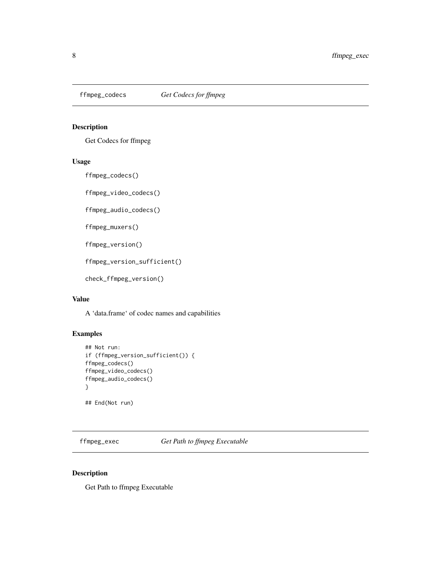<span id="page-7-0"></span>

#### Description

Get Codecs for ffmpeg

#### Usage

ffmpeg\_codecs()

ffmpeg\_video\_codecs()

ffmpeg\_audio\_codecs()

ffmpeg\_muxers()

```
ffmpeg_version()
```
ffmpeg\_version\_sufficient()

```
check_ffmpeg_version()
```
#### Value

A 'data.frame' of codec names and capabilities

#### Examples

```
## Not run:
if (ffmpeg_version_sufficient()) {
ffmpeg_codecs()
ffmpeg_video_codecs()
ffmpeg_audio_codecs()
}
```
## End(Not run)

ffmpeg\_exec *Get Path to ffmpeg Executable*

#### Description

Get Path to ffmpeg Executable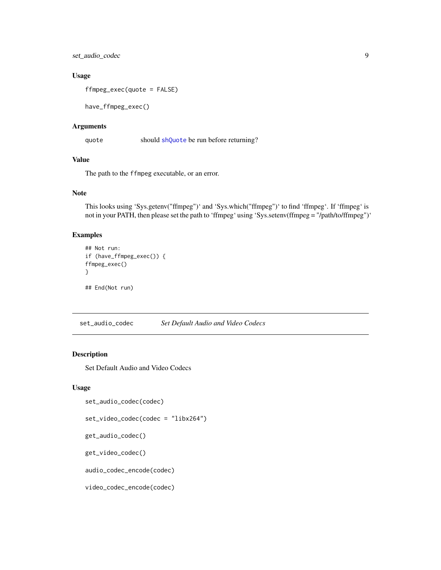<span id="page-8-0"></span>set\_audio\_codec 9

#### Usage

ffmpeg\_exec(quote = FALSE)

have\_ffmpeg\_exec()

#### Arguments

quote should [shQuote](#page-0-0) be run before returning?

#### Value

The path to the ffmpeg executable, or an error.

#### Note

This looks using 'Sys.getenv("ffmpeg")' and 'Sys.which("ffmpeg")' to find 'ffmpeg'. If 'ffmpeg' is not in your PATH, then please set the path to 'ffmpeg' using 'Sys.setenv(ffmpeg = "/path/to/ffmpeg")'

#### Examples

```
## Not run:
if (have_ffmpeg_exec()) {
ffmpeg_exec()
}
## End(Not run)
```
set\_audio\_codec *Set Default Audio and Video Codecs*

#### Description

Set Default Audio and Video Codecs

#### Usage

```
set_audio_codec(codec)
```

```
set_video_codec(codec = "libx264")
```

```
get_audio_codec()
```

```
get_video_codec()
```
audio\_codec\_encode(codec)

video\_codec\_encode(codec)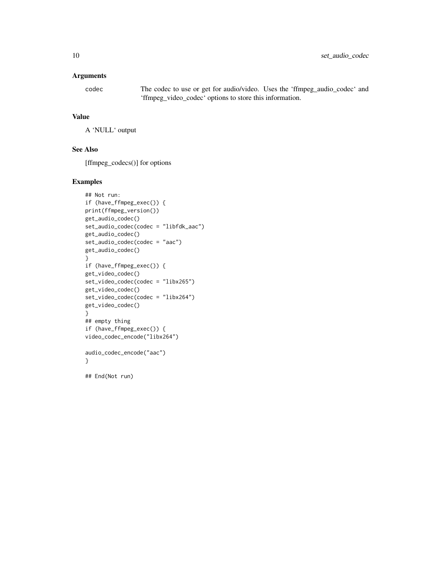#### Arguments

codec The codec to use or get for audio/video. Uses the 'ffmpeg\_audio\_codec' and 'ffmpeg\_video\_codec' options to store this information.

#### Value

A 'NULL' output

#### See Also

[ffmpeg\_codecs()] for options

#### Examples

```
## Not run:
if (have_ffmpeg_exec()) {
print(ffmpeg_version())
get_audio_codec()
set_audio_codec(codec = "libfdk_aac")
get_audio_codec()
set_audio_codec(codec = "aac")
get_audio_codec()
}
if (have_ffmpeg_exec()) {
get_video_codec()
set_video_codec(codec = "libx265")
get_video_codec()
set_video_codec(codec = "libx264")
get_video_codec()
}
## empty thing
if (have_ffmpeg_exec()) {
video_codec_encode("libx264")
audio_codec_encode("aac")
}
```
## End(Not run)